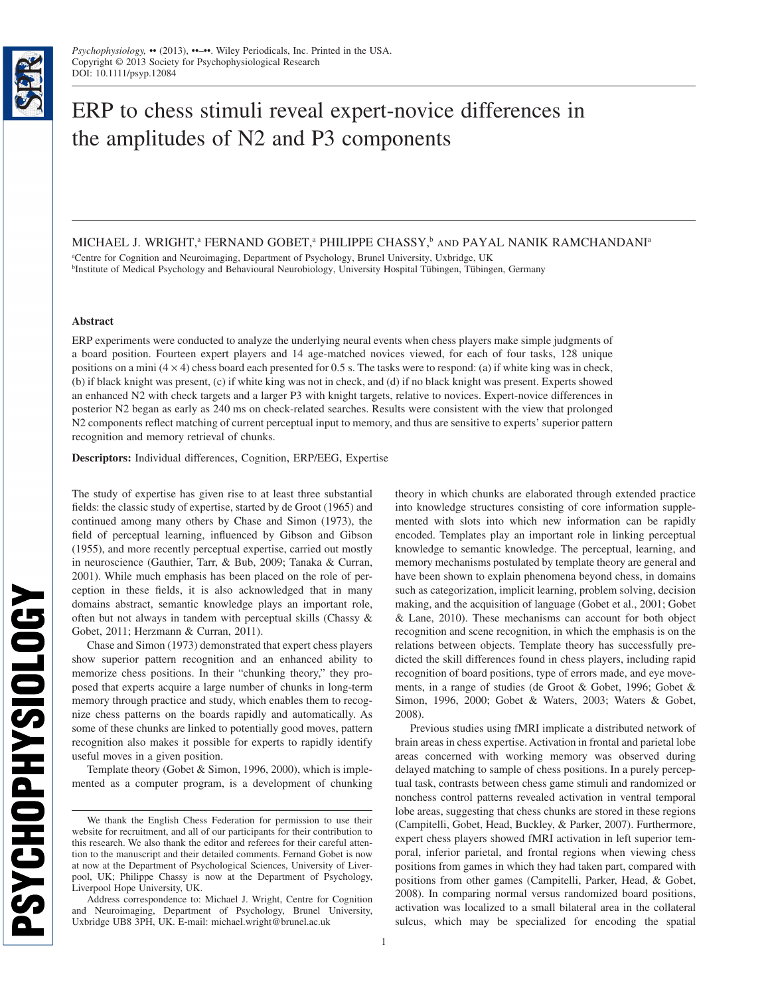# ERP to chess stimuli reveal expert-novice differences in the amplitudes of N2 and P3 components

MICHAEL J. WRIGHT,<sup>a</sup> FERNAND GOBET,<sup>a</sup> PHILIPPE CHASSY,<sup>b</sup> and PAYAL NANIK RAMCHANDANI<sup>a</sup>

a Centre for Cognition and Neuroimaging, Department of Psychology, Brunel University, Uxbridge, UK b Institute of Medical Psychology and Behavioural Neurobiology, University Hospital Tübingen, Tübingen, Germany

# **Abstract**

ERP experiments were conducted to analyze the underlying neural events when chess players make simple judgments of a board position. Fourteen expert players and 14 age-matched novices viewed, for each of four tasks, 128 unique positions on a mini  $(4 \times 4)$  chess board each presented for 0.5 s. The tasks were to respond: (a) if white king was in check, (b) if black knight was present, (c) if white king was not in check, and (d) if no black knight was present. Experts showed an enhanced N2 with check targets and a larger P3 with knight targets, relative to novices. Expert-novice differences in posterior N2 began as early as 240 ms on check-related searches. Results were consistent with the view that prolonged N2 components reflect matching of current perceptual input to memory, and thus are sensitive to experts' superior pattern recognition and memory retrieval of chunks.

**Descriptors:** Individual differences, Cognition, ERP/EEG, Expertise

The study of expertise has given rise to at least three substantial fields: the classic study of expertise, started by de Groot (1965) and continued among many others by Chase and Simon (1973), the field of perceptual learning, influenced by Gibson and Gibson (1955), and more recently perceptual expertise, carried out mostly in neuroscience (Gauthier, Tarr, & Bub, 2009; Tanaka & Curran, 2001). While much emphasis has been placed on the role of perception in these fields, it is also acknowledged that in many domains abstract, semantic knowledge plays an important role, often but not always in tandem with perceptual skills (Chassy & Gobet, 2011; Herzmann & Curran, 2011).

Chase and Simon (1973) demonstrated that expert chess players show superior pattern recognition and an enhanced ability to memorize chess positions. In their "chunking theory," they proposed that experts acquire a large number of chunks in long-term memory through practice and study, which enables them to recognize chess patterns on the boards rapidly and automatically. As some of these chunks are linked to potentially good moves, pattern recognition also makes it possible for experts to rapidly identify useful moves in a given position.

Template theory (Gobet & Simon, 1996, 2000), which is implemented as a computer program, is a development of chunking theory in which chunks are elaborated through extended practice into knowledge structures consisting of core information supplemented with slots into which new information can be rapidly encoded. Templates play an important role in linking perceptual knowledge to semantic knowledge. The perceptual, learning, and memory mechanisms postulated by template theory are general and have been shown to explain phenomena beyond chess, in domains such as categorization, implicit learning, problem solving, decision making, and the acquisition of language (Gobet et al., 2001; Gobet & Lane, 2010). These mechanisms can account for both object recognition and scene recognition, in which the emphasis is on the relations between objects. Template theory has successfully predicted the skill differences found in chess players, including rapid recognition of board positions, type of errors made, and eye movements, in a range of studies (de Groot & Gobet, 1996; Gobet & Simon, 1996, 2000; Gobet & Waters, 2003; Waters & Gobet, 2008).

Previous studies using fMRI implicate a distributed network of brain areas in chess expertise. Activation in frontal and parietal lobe areas concerned with working memory was observed during delayed matching to sample of chess positions. In a purely perceptual task, contrasts between chess game stimuli and randomized or nonchess control patterns revealed activation in ventral temporal lobe areas, suggesting that chess chunks are stored in these regions (Campitelli, Gobet, Head, Buckley, & Parker, 2007). Furthermore, expert chess players showed fMRI activation in left superior temporal, inferior parietal, and frontal regions when viewing chess positions from games in which they had taken part, compared with positions from other games (Campitelli, Parker, Head, & Gobet, 2008). In comparing normal versus randomized board positions, activation was localized to a small bilateral area in the collateral sulcus, which may be specialized for encoding the spatial

We thank the English Chess Federation for permission to use their website for recruitment, and all of our participants for their contribution to this research. We also thank the editor and referees for their careful attention to the manuscript and their detailed comments. Fernand Gobet is now at now at the Department of Psychological Sciences, University of Liverpool, UK; Philippe Chassy is now at the Department of Psychology, Liverpool Hope University, UK.

Address correspondence to: Michael J. Wright, Centre for Cognition and Neuroimaging, Department of Psychology, Brunel University, Uxbridge UB8 3PH, UK. E-mail: michael.wright@brunel.ac.uk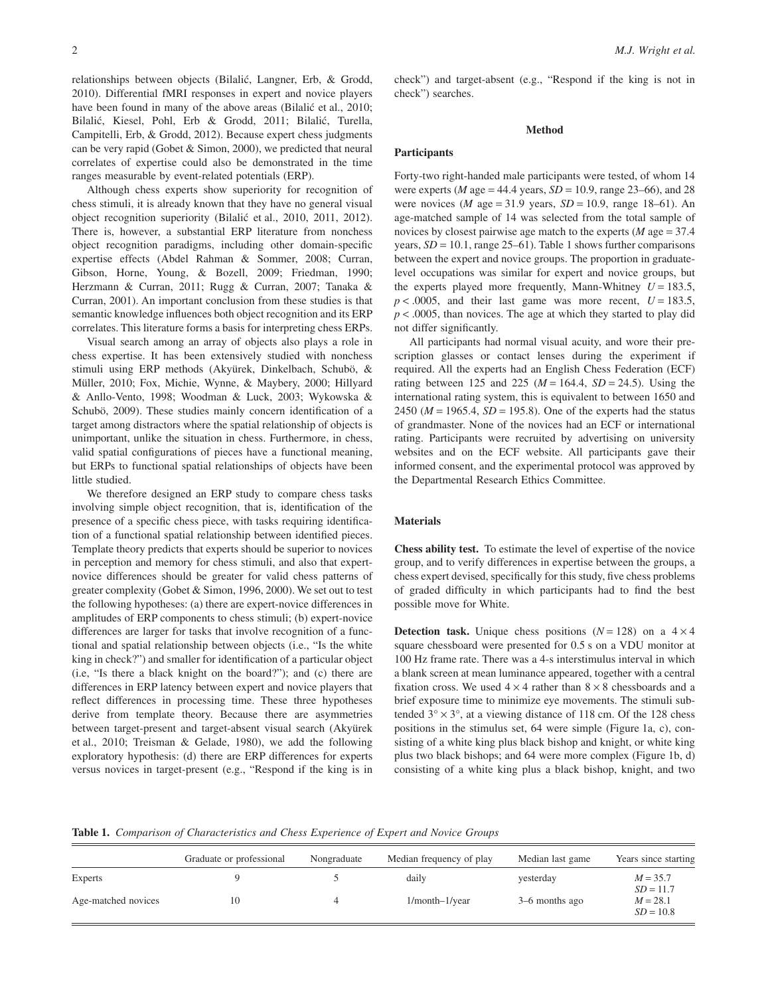relationships between objects (Bilalić, Langner, Erb, & Grodd, 2010). Differential fMRI responses in expert and novice players have been found in many of the above areas (Bilalić et al., 2010; Bilalić, Kiesel, Pohl, Erb & Grodd, 2011; Bilalić, Turella, Campitelli, Erb, & Grodd, 2012). Because expert chess judgments can be very rapid (Gobet & Simon, 2000), we predicted that neural correlates of expertise could also be demonstrated in the time ranges measurable by event-related potentials (ERP).

Although chess experts show superiority for recognition of chess stimuli, it is already known that they have no general visual object recognition superiority (Bilalic´ et al., 2010, 2011, 2012). There is, however, a substantial ERP literature from nonchess object recognition paradigms, including other domain-specific expertise effects (Abdel Rahman & Sommer, 2008; Curran, Gibson, Horne, Young, & Bozell, 2009; Friedman, 1990; Herzmann & Curran, 2011; Rugg & Curran, 2007; Tanaka & Curran, 2001). An important conclusion from these studies is that semantic knowledge influences both object recognition and its ERP correlates. This literature forms a basis for interpreting chess ERPs.

Visual search among an array of objects also plays a role in chess expertise. It has been extensively studied with nonchess stimuli using ERP methods (Akyürek, Dinkelbach, Schubö, & Müller, 2010; Fox, Michie, Wynne, & Maybery, 2000; Hillyard & Anllo-Vento, 1998; Woodman & Luck, 2003; Wykowska & Schubö, 2009). These studies mainly concern identification of a target among distractors where the spatial relationship of objects is unimportant, unlike the situation in chess. Furthermore, in chess, valid spatial configurations of pieces have a functional meaning, but ERPs to functional spatial relationships of objects have been little studied.

We therefore designed an ERP study to compare chess tasks involving simple object recognition, that is, identification of the presence of a specific chess piece, with tasks requiring identification of a functional spatial relationship between identified pieces. Template theory predicts that experts should be superior to novices in perception and memory for chess stimuli, and also that expertnovice differences should be greater for valid chess patterns of greater complexity (Gobet & Simon, 1996, 2000). We set out to test the following hypotheses: (a) there are expert-novice differences in amplitudes of ERP components to chess stimuli; (b) expert-novice differences are larger for tasks that involve recognition of a functional and spatial relationship between objects (i.e., "Is the white king in check?") and smaller for identification of a particular object (i.e, "Is there a black knight on the board?"); and (c) there are differences in ERP latency between expert and novice players that reflect differences in processing time. These three hypotheses derive from template theory. Because there are asymmetries between target-present and target-absent visual search (Akyürek et al., 2010; Treisman & Gelade, 1980), we add the following exploratory hypothesis: (d) there are ERP differences for experts versus novices in target-present (e.g., "Respond if the king is in check") and target-absent (e.g., "Respond if the king is not in check") searches.

## **Method**

# **Participants**

Forty-two right-handed male participants were tested, of whom 14 were experts (*M* age = 44.4 years,  $SD = 10.9$ , range 23–66), and 28 were novices (*M* age = 31.9 years, *SD* = 10.9, range 18–61). An age-matched sample of 14 was selected from the total sample of novices by closest pairwise age match to the experts (*M* age = 37.4 years,  $SD = 10.1$ , range 25–61). Table 1 shows further comparisons between the expert and novice groups. The proportion in graduatelevel occupations was similar for expert and novice groups, but the experts played more frequently, Mann-Whitney  $U = 183.5$ ,  $p < .0005$ , and their last game was more recent,  $U = 183.5$ ,  $p < .0005$ , than novices. The age at which they started to play did not differ significantly.

All participants had normal visual acuity, and wore their prescription glasses or contact lenses during the experiment if required. All the experts had an English Chess Federation (ECF) rating between 125 and 225 ( $M = 164.4$ ,  $SD = 24.5$ ). Using the international rating system, this is equivalent to between 1650 and 2450 ( $M = 1965.4$ ,  $SD = 195.8$ ). One of the experts had the status of grandmaster. None of the novices had an ECF or international rating. Participants were recruited by advertising on university websites and on the ECF website. All participants gave their informed consent, and the experimental protocol was approved by the Departmental Research Ethics Committee.

# **Materials**

**Chess ability test.** To estimate the level of expertise of the novice group, and to verify differences in expertise between the groups, a chess expert devised, specifically for this study, five chess problems of graded difficulty in which participants had to find the best possible move for White.

**Detection task.** Unique chess positions  $(N = 128)$  on a  $4 \times 4$ square chessboard were presented for 0.5 s on a VDU monitor at 100 Hz frame rate. There was a 4-s interstimulus interval in which a blank screen at mean luminance appeared, together with a central fixation cross. We used  $4 \times 4$  rather than  $8 \times 8$  chessboards and a brief exposure time to minimize eye movements. The stimuli subtended  $3^\circ \times 3^\circ$ , at a viewing distance of 118 cm. Of the 128 chess positions in the stimulus set, 64 were simple (Figure 1a, c), consisting of a white king plus black bishop and knight, or white king plus two black bishops; and 64 were more complex (Figure 1b, d) consisting of a white king plus a black bishop, knight, and two

**Table 1.** *Comparison of Characteristics and Chess Experience of Expert and Novice Groups*

|                     | Graduate or professional | Nongraduate | Median frequency of play | Median last game | Years since starting      |
|---------------------|--------------------------|-------------|--------------------------|------------------|---------------------------|
| Experts             |                          |             | daily                    | yesterday        | $M = 35.7$<br>$SD = 11.7$ |
| Age-matched novices |                          |             | $1/month-1/year$         | 3–6 months ago   | $M = 28.1$<br>$SD = 10.8$ |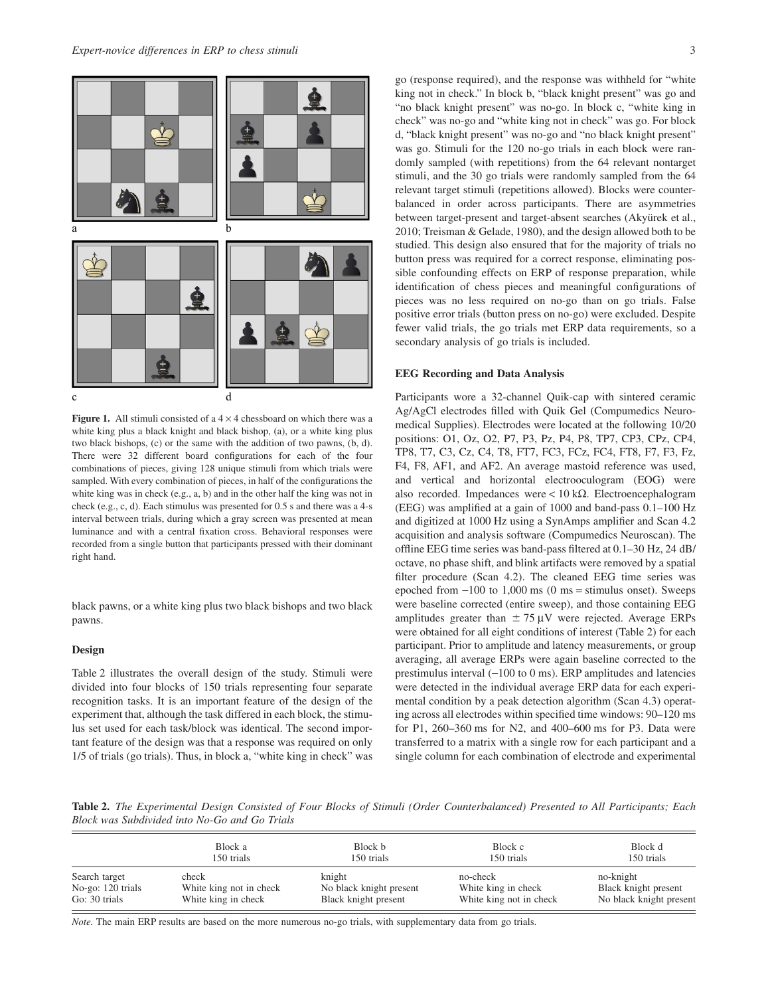

**Figure 1.** All stimuli consisted of a  $4 \times 4$  chessboard on which there was a white king plus a black knight and black bishop, (a), or a white king plus two black bishops, (c) or the same with the addition of two pawns, (b, d). There were 32 different board configurations for each of the four combinations of pieces, giving 128 unique stimuli from which trials were sampled. With every combination of pieces, in half of the configurations the white king was in check (e.g., a, b) and in the other half the king was not in check (e.g., c, d). Each stimulus was presented for 0.5 s and there was a 4-s interval between trials, during which a gray screen was presented at mean luminance and with a central fixation cross. Behavioral responses were recorded from a single button that participants pressed with their dominant right hand.

black pawns, or a white king plus two black bishops and two black pawns.

## **Design**

Table 2 illustrates the overall design of the study. Stimuli were divided into four blocks of 150 trials representing four separate recognition tasks. It is an important feature of the design of the experiment that, although the task differed in each block, the stimulus set used for each task/block was identical. The second important feature of the design was that a response was required on only 1/5 of trials (go trials). Thus, in block a, "white king in check" was go (response required), and the response was withheld for "white king not in check." In block b, "black knight present" was go and "no black knight present" was no-go. In block c, "white king in check" was no-go and "white king not in check" was go. For block d, "black knight present" was no-go and "no black knight present" was go. Stimuli for the 120 no-go trials in each block were randomly sampled (with repetitions) from the 64 relevant nontarget stimuli, and the 30 go trials were randomly sampled from the 64 relevant target stimuli (repetitions allowed). Blocks were counterbalanced in order across participants. There are asymmetries between target-present and target-absent searches (Akyürek et al., 2010; Treisman & Gelade, 1980), and the design allowed both to be studied. This design also ensured that for the majority of trials no button press was required for a correct response, eliminating possible confounding effects on ERP of response preparation, while identification of chess pieces and meaningful configurations of pieces was no less required on no-go than on go trials. False positive error trials (button press on no-go) were excluded. Despite fewer valid trials, the go trials met ERP data requirements, so a secondary analysis of go trials is included.

## **EEG Recording and Data Analysis**

Participants wore a 32-channel Quik-cap with sintered ceramic Ag/AgCl electrodes filled with Quik Gel (Compumedics Neuromedical Supplies). Electrodes were located at the following 10/20 positions: O1, Oz, O2, P7, P3, Pz, P4, P8, TP7, CP3, CPz, CP4, TP8, T7, C3, Cz, C4, T8, FT7, FC3, FCz, FC4, FT8, F7, F3, Fz, F4, F8, AF1, and AF2. An average mastoid reference was used, and vertical and horizontal electrooculogram (EOG) were also recorded. Impedances were  $< 10 \text{ k}\Omega$ . Electroencephalogram (EEG) was amplified at a gain of 1000 and band-pass 0.1–100 Hz and digitized at 1000 Hz using a SynAmps amplifier and Scan 4.2 acquisition and analysis software (Compumedics Neuroscan). The offline EEG time series was band-pass filtered at 0.1–30 Hz, 24 dB/ octave, no phase shift, and blink artifacts were removed by a spatial filter procedure (Scan 4.2). The cleaned EEG time series was epoched from  $-100$  to 1,000 ms (0 ms = stimulus onset). Sweeps were baseline corrected (entire sweep), and those containing EEG amplitudes greater than  $\pm 75 \mu V$  were rejected. Average ERPs were obtained for all eight conditions of interest (Table 2) for each participant. Prior to amplitude and latency measurements, or group averaging, all average ERPs were again baseline corrected to the prestimulus interval  $(-100 \text{ to } 0 \text{ ms})$ . ERP amplitudes and latencies were detected in the individual average ERP data for each experimental condition by a peak detection algorithm (Scan 4.3) operating across all electrodes within specified time windows: 90–120 ms for P1, 260–360 ms for N2, and 400–600 ms for P3. Data were transferred to a matrix with a single row for each participant and a single column for each combination of electrode and experimental

**Table 2.** *The Experimental Design Consisted of Four Blocks of Stimuli (Order Counterbalanced) Presented to All Participants; Each Block was Subdivided into No-Go and Go Trials*

|                   | Block a                 | Block b                 | Block c                 | Block d                 |  |
|-------------------|-------------------------|-------------------------|-------------------------|-------------------------|--|
|                   | 150 trials              | 150 trials              | 150 trials              | 150 trials              |  |
| Search target     | check                   | knight                  | no-check                | no-knight               |  |
| No-go: 120 trials | White king not in check | No black knight present | White king in check     | Black knight present    |  |
| Go: 30 trials     | White king in check     | Black knight present    | White king not in check | No black knight present |  |

*Note.* The main ERP results are based on the more numerous no-go trials, with supplementary data from go trials.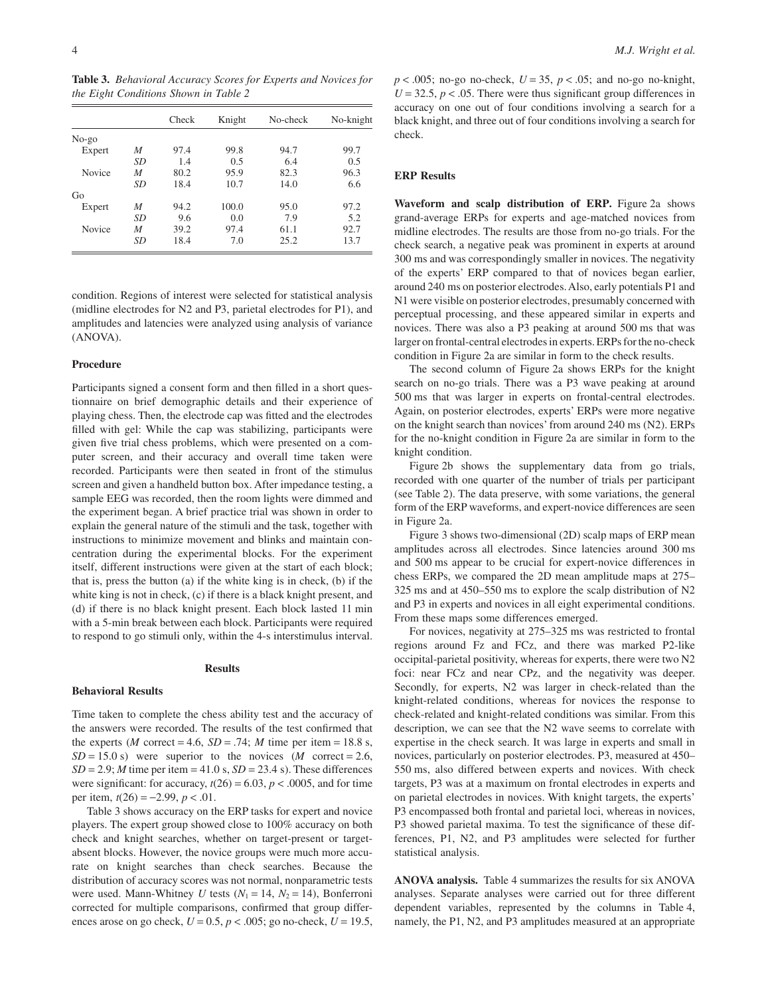**Table 3.** *Behavioral Accuracy Scores for Experts and Novices for the Eight Conditions Shown in Table 2*

|         |    | Check | Knight | No-check | No-knight |
|---------|----|-------|--------|----------|-----------|
| $No-go$ |    |       |        |          |           |
| Expert  | M  | 97.4  | 99.8   | 94.7     | 99.7      |
|         | SD | 1.4   | 0.5    | 6.4      | 0.5       |
| Novice  | M  | 80.2  | 95.9   | 82.3     | 96.3      |
|         | SD | 18.4  | 10.7   | 14.0     | 6.6       |
| Go      |    |       |        |          |           |
| Expert  | M  | 94.2  | 100.0  | 95.0     | 97.2      |
|         | SD | 9.6   | 0.0    | 7.9      | 5.2       |
| Novice  | M  | 39.2  | 97.4   | 61.1     | 92.7      |
|         | SD | 18.4  | 7.0    | 25.2     | 13.7      |

condition. Regions of interest were selected for statistical analysis (midline electrodes for N2 and P3, parietal electrodes for P1), and amplitudes and latencies were analyzed using analysis of variance (ANOVA).

# **Procedure**

Participants signed a consent form and then filled in a short questionnaire on brief demographic details and their experience of playing chess. Then, the electrode cap was fitted and the electrodes filled with gel: While the cap was stabilizing, participants were given five trial chess problems, which were presented on a computer screen, and their accuracy and overall time taken were recorded. Participants were then seated in front of the stimulus screen and given a handheld button box. After impedance testing, a sample EEG was recorded, then the room lights were dimmed and the experiment began. A brief practice trial was shown in order to explain the general nature of the stimuli and the task, together with instructions to minimize movement and blinks and maintain concentration during the experimental blocks. For the experiment itself, different instructions were given at the start of each block; that is, press the button (a) if the white king is in check, (b) if the white king is not in check, (c) if there is a black knight present, and (d) if there is no black knight present. Each block lasted 11 min with a 5-min break between each block. Participants were required to respond to go stimuli only, within the 4-s interstimulus interval.

#### **Results**

# **Behavioral Results**

Time taken to complete the chess ability test and the accuracy of the answers were recorded. The results of the test confirmed that the experts (*M* correct = 4.6,  $SD = .74$ ; *M* time per item = 18.8 s,  $SD = 15.0$  s) were superior to the novices (*M* correct = 2.6,  $SD = 2.9$ ; *M* time per item = 41.0 s,  $SD = 23.4$  s). These differences were significant: for accuracy,  $t(26) = 6.03$ ,  $p < .0005$ , and for time per item,  $t(26) = -2.99$ ,  $p < .01$ .

Table 3 shows accuracy on the ERP tasks for expert and novice players. The expert group showed close to 100% accuracy on both check and knight searches, whether on target-present or targetabsent blocks. However, the novice groups were much more accurate on knight searches than check searches. Because the distribution of accuracy scores was not normal, nonparametric tests were used. Mann-Whitney *U* tests  $(N_1 = 14, N_2 = 14)$ , Bonferroni corrected for multiple comparisons, confirmed that group differences arose on go check,  $U = 0.5$ ,  $p < .005$ ; go no-check,  $U = 19.5$ ,  $p < .005$ ; no-go no-check,  $U = 35$ ,  $p < .05$ ; and no-go no-knight,  $U = 32.5, p < .05$ . There were thus significant group differences in accuracy on one out of four conditions involving a search for a black knight, and three out of four conditions involving a search for check.

## **ERP Results**

**Waveform and scalp distribution of ERP.** Figure 2a shows grand-average ERPs for experts and age-matched novices from midline electrodes. The results are those from no-go trials. For the check search, a negative peak was prominent in experts at around 300 ms and was correspondingly smaller in novices. The negativity of the experts' ERP compared to that of novices began earlier, around 240 ms on posterior electrodes.Also, early potentials P1 and N1 were visible on posterior electrodes, presumably concerned with perceptual processing, and these appeared similar in experts and novices. There was also a P3 peaking at around 500 ms that was larger on frontal-central electrodes in experts. ERPs for the no-check condition in Figure 2a are similar in form to the check results.

The second column of Figure 2a shows ERPs for the knight search on no-go trials. There was a P3 wave peaking at around 500 ms that was larger in experts on frontal-central electrodes. Again, on posterior electrodes, experts' ERPs were more negative on the knight search than novices' from around 240 ms (N2). ERPs for the no-knight condition in Figure 2a are similar in form to the knight condition.

Figure 2b shows the supplementary data from go trials, recorded with one quarter of the number of trials per participant (see Table 2). The data preserve, with some variations, the general form of the ERP waveforms, and expert-novice differences are seen in Figure 2a.

Figure 3 shows two-dimensional (2D) scalp maps of ERP mean amplitudes across all electrodes. Since latencies around 300 ms and 500 ms appear to be crucial for expert-novice differences in chess ERPs, we compared the 2D mean amplitude maps at 275– 325 ms and at 450–550 ms to explore the scalp distribution of N2 and P3 in experts and novices in all eight experimental conditions. From these maps some differences emerged.

For novices, negativity at 275–325 ms was restricted to frontal regions around Fz and FCz, and there was marked P2-like occipital-parietal positivity, whereas for experts, there were two N2 foci: near FCz and near CPz, and the negativity was deeper. Secondly, for experts, N2 was larger in check-related than the knight-related conditions, whereas for novices the response to check-related and knight-related conditions was similar. From this description, we can see that the N2 wave seems to correlate with expertise in the check search. It was large in experts and small in novices, particularly on posterior electrodes. P3, measured at 450– 550 ms, also differed between experts and novices. With check targets, P3 was at a maximum on frontal electrodes in experts and on parietal electrodes in novices. With knight targets, the experts' P3 encompassed both frontal and parietal loci, whereas in novices, P3 showed parietal maxima. To test the significance of these differences, P1, N2, and P3 amplitudes were selected for further statistical analysis.

**ANOVA analysis.** Table 4 summarizes the results for six ANOVA analyses. Separate analyses were carried out for three different dependent variables, represented by the columns in Table 4, namely, the P1, N2, and P3 amplitudes measured at an appropriate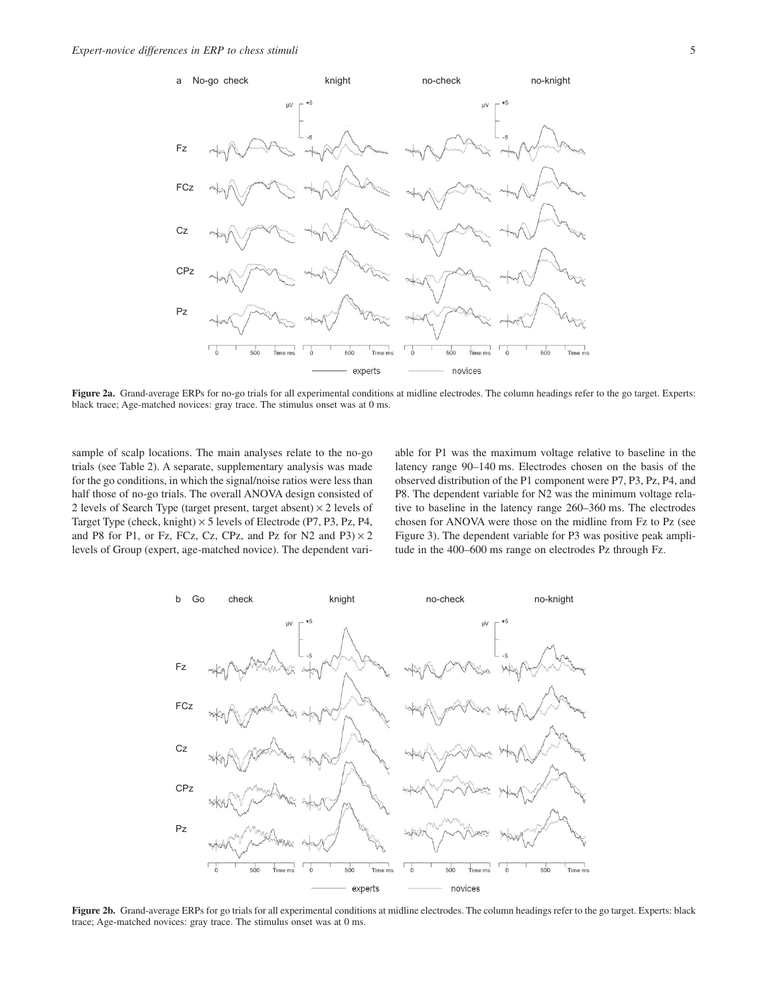

**Figure 2a.** Grand-average ERPs for no-go trials for all experimental conditions at midline electrodes. The column headings refer to the go target. Experts: black trace; Age-matched novices: gray trace. The stimulus onset was at 0 ms.

sample of scalp locations. The main analyses relate to the no-go trials (see Table 2). A separate, supplementary analysis was made for the go conditions, in which the signal/noise ratios were less than half those of no-go trials. The overall ANOVA design consisted of 2 levels of Search Type (target present, target absent)  $\times$  2 levels of Target Type (check, knight)  $\times$  5 levels of Electrode (P7, P3, Pz, P4, and P8 for P1, or Fz, FCz, Cz, CPz, and Pz for N2 and P3 $) \times 2$ levels of Group (expert, age-matched novice). The dependent variable for P1 was the maximum voltage relative to baseline in the latency range 90–140 ms. Electrodes chosen on the basis of the observed distribution of the P1 component were P7, P3, Pz, P4, and P8. The dependent variable for N2 was the minimum voltage relative to baseline in the latency range 260–360 ms. The electrodes chosen for ANOVA were those on the midline from Fz to Pz (see Figure 3). The dependent variable for P3 was positive peak amplitude in the 400–600 ms range on electrodes Pz through Fz.



**Figure 2b.** Grand-average ERPs for go trials for all experimental conditions at midline electrodes. The column headings refer to the go target. Experts: black trace; Age-matched novices: gray trace. The stimulus onset was at 0 ms.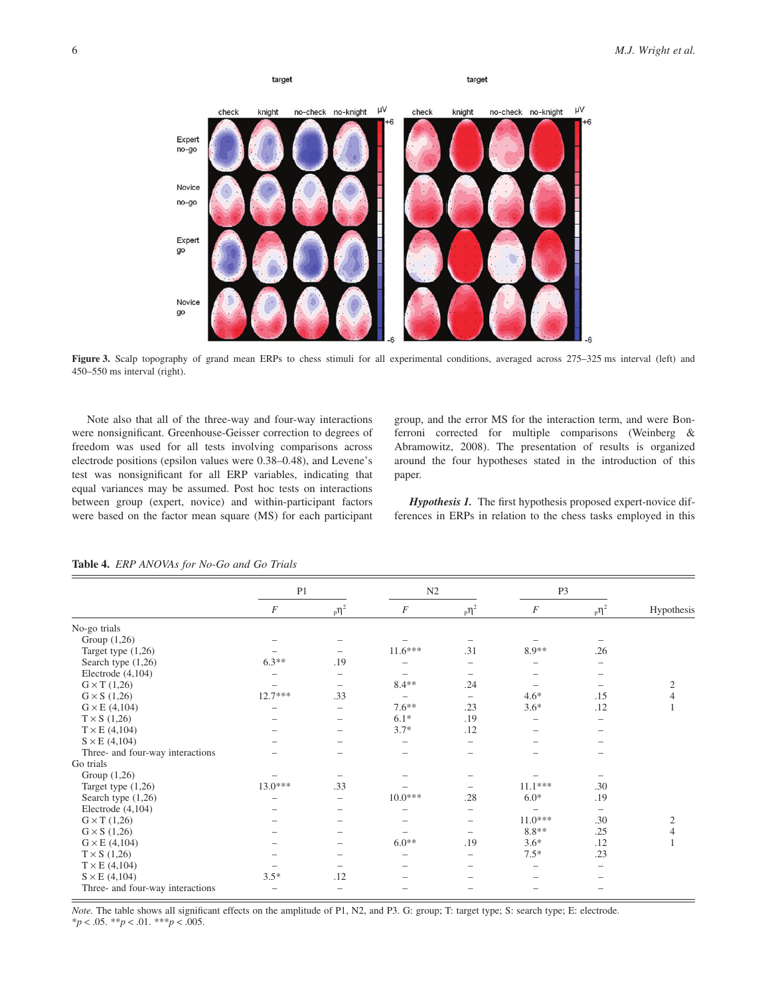

**Figure 3.** Scalp topography of grand mean ERPs to chess stimuli for all experimental conditions, averaged across 275–325 ms interval (left) and 450–550 ms interval (right).

Note also that all of the three-way and four-way interactions were nonsignificant. Greenhouse-Geisser correction to degrees of freedom was used for all tests involving comparisons across electrode positions (epsilon values were 0.38–0.48), and Levene's test was nonsignificant for all ERP variables, indicating that equal variances may be assumed. Post hoc tests on interactions between group (expert, novice) and within-participant factors were based on the factor mean square (MS) for each participant group, and the error MS for the interaction term, and were Bonferroni corrected for multiple comparisons (Weinberg & Abramowitz, 2008). The presentation of results is organized around the four hypotheses stated in the introduction of this paper.

*Hypothesis 1.* The first hypothesis proposed expert-novice differences in ERPs in relation to the chess tasks employed in this

|                                  | P <sub>1</sub>   |                          |                  | N2                       |                  | P <sub>3</sub>           |                |
|----------------------------------|------------------|--------------------------|------------------|--------------------------|------------------|--------------------------|----------------|
|                                  | $\boldsymbol{F}$ | $_{p}n^{2}$              | $\boldsymbol{F}$ | $_{p}n^{2}$              | $\boldsymbol{F}$ | $\mathsf{p} \eta^2$      | Hypothesis     |
| No-go trials                     |                  |                          |                  |                          |                  |                          |                |
| Group $(1,26)$                   |                  |                          |                  |                          |                  |                          |                |
| Target type (1,26)               |                  |                          | $11.6***$        | .31                      | 8.9**            | .26                      |                |
| Search type (1,26)               | $6.3**$          | .19                      |                  |                          |                  |                          |                |
| Electrode $(4,104)$              |                  | $\overline{\phantom{0}}$ |                  |                          |                  |                          |                |
| $G \times T$ (1,26)              |                  |                          | $8.4**$          | .24                      |                  |                          | $\mathfrak{2}$ |
| $G \times S$ (1,26)              | $12.7***$        | .33                      |                  | $\overline{\phantom{0}}$ | $4.6*$           | .15                      | $\overline{4}$ |
| $G \times E$ (4,104)             |                  | $\overline{\phantom{0}}$ | $7.6**$          | .23                      | $3.6*$           | .12                      |                |
| $T \times S$ (1,26)              |                  |                          | $6.1*$           | .19                      |                  |                          |                |
| $T \times E$ (4,104)             |                  | $\qquad \qquad$          | $3.7*$           | .12                      |                  |                          |                |
| $S \times E$ (4,104)             |                  |                          |                  | $\overline{\phantom{0}}$ |                  |                          |                |
| Three- and four-way interactions |                  |                          |                  |                          |                  |                          |                |
| Go trials                        |                  |                          |                  |                          |                  |                          |                |
| Group $(1,26)$                   |                  |                          |                  |                          |                  |                          |                |
| Target type (1,26)               | 13.0***          | .33                      |                  |                          | $11.1***$        | .30                      |                |
| Search type $(1,26)$             |                  | $\overline{\phantom{0}}$ | $10.0***$        | .28                      | $6.0*$           | .19                      |                |
| Electrode $(4,104)$              |                  |                          |                  |                          |                  | $\overline{\phantom{0}}$ |                |
| $G \times T$ (1,26)              |                  |                          |                  |                          | $11.0***$        | .30                      | $\mathfrak{2}$ |
| $G \times S$ (1,26)              |                  |                          |                  |                          | $8.8**$          | .25                      | $\overline{4}$ |
| $G \times E$ (4,104)             |                  |                          | $6.0**$          | .19                      | $3.6*$           | .12                      |                |
| $T \times S$ (1,26)              |                  |                          |                  | $\overline{\phantom{0}}$ | $7.5*$           | .23                      |                |
| $T \times E$ (4,104)             |                  |                          |                  |                          |                  |                          |                |
| $S \times E$ (4,104)             | $3.5*$           | .12                      |                  |                          |                  |                          |                |
| Three- and four-way interactions |                  |                          |                  |                          |                  |                          |                |

**Table 4.** *ERP ANOVAs for No-Go and Go Trials*

*Note.* The table shows all significant effects on the amplitude of P1, N2, and P3. G: group; T: target type; S: search type; E: electrode. \**p* < .05. \*\**p* < .01. \*\*\**p* < .005.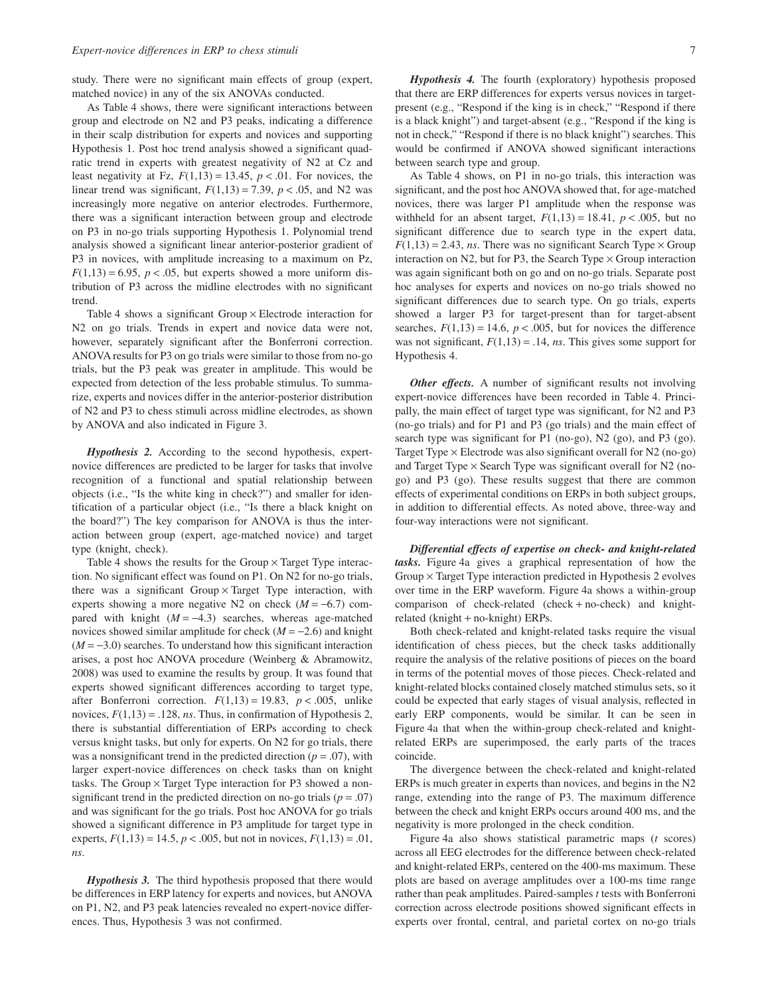study. There were no significant main effects of group (expert, matched novice) in any of the six ANOVAs conducted.

As Table 4 shows, there were significant interactions between group and electrode on N2 and P3 peaks, indicating a difference in their scalp distribution for experts and novices and supporting Hypothesis 1. Post hoc trend analysis showed a significant quadratic trend in experts with greatest negativity of N2 at Cz and least negativity at Fz,  $F(1,13) = 13.45$ ,  $p < .01$ . For novices, the linear trend was significant,  $F(1,13) = 7.39$ ,  $p < .05$ , and N2 was increasingly more negative on anterior electrodes. Furthermore, there was a significant interaction between group and electrode on P3 in no-go trials supporting Hypothesis 1. Polynomial trend analysis showed a significant linear anterior-posterior gradient of P3 in novices, with amplitude increasing to a maximum on Pz,  $F(1,13) = 6.95$ ,  $p < .05$ , but experts showed a more uniform distribution of P3 across the midline electrodes with no significant trend.

Table 4 shows a significant Group  $\times$  Electrode interaction for N2 on go trials. Trends in expert and novice data were not, however, separately significant after the Bonferroni correction. ANOVA results for P3 on go trials were similar to those from no-go trials, but the P3 peak was greater in amplitude. This would be expected from detection of the less probable stimulus. To summarize, experts and novices differ in the anterior-posterior distribution of N2 and P3 to chess stimuli across midline electrodes, as shown by ANOVA and also indicated in Figure 3.

*Hypothesis 2.* According to the second hypothesis, expertnovice differences are predicted to be larger for tasks that involve recognition of a functional and spatial relationship between objects (i.e., "Is the white king in check?") and smaller for identification of a particular object (i.e., "Is there a black knight on the board?") The key comparison for ANOVA is thus the interaction between group (expert, age-matched novice) and target type (knight, check).

Table 4 shows the results for the Group  $\times$  Target Type interaction. No significant effect was found on P1. On N2 for no-go trials, there was a significant Group  $\times$  Target Type interaction, with experts showing a more negative N2 on check  $(M = -6.7)$  compared with knight  $(M = -4.3)$  searches, whereas age-matched novices showed similar amplitude for check  $(M = -2.6)$  and knight  $(M = -3.0)$  searches. To understand how this significant interaction arises, a post hoc ANOVA procedure (Weinberg & Abramowitz, 2008) was used to examine the results by group. It was found that experts showed significant differences according to target type, after Bonferroni correction.  $F(1,13) = 19.83$ ,  $p < .005$ , unlike novices,  $F(1,13) = .128$ , *ns*. Thus, in confirmation of Hypothesis 2, there is substantial differentiation of ERPs according to check versus knight tasks, but only for experts. On N2 for go trials, there was a nonsignificant trend in the predicted direction  $(p = .07)$ , with larger expert-novice differences on check tasks than on knight tasks. The Group  $\times$  Target Type interaction for P3 showed a nonsignificant trend in the predicted direction on no-go trials ( $p = .07$ ) and was significant for the go trials. Post hoc ANOVA for go trials showed a significant difference in P3 amplitude for target type in experts,  $F(1,13) = 14.5$ ,  $p < .005$ , but not in novices,  $F(1,13) = .01$ , *ns*.

*Hypothesis 3.* The third hypothesis proposed that there would be differences in ERP latency for experts and novices, but ANOVA on P1, N2, and P3 peak latencies revealed no expert-novice differences. Thus, Hypothesis 3 was not confirmed.

*Hypothesis 4.* The fourth (exploratory) hypothesis proposed that there are ERP differences for experts versus novices in targetpresent (e.g., "Respond if the king is in check," "Respond if there is a black knight") and target-absent (e.g., "Respond if the king is not in check," "Respond if there is no black knight") searches. This would be confirmed if ANOVA showed significant interactions between search type and group.

As Table 4 shows, on P1 in no-go trials, this interaction was significant, and the post hoc ANOVA showed that, for age-matched novices, there was larger P1 amplitude when the response was withheld for an absent target,  $F(1,13) = 18.41$ ,  $p < .005$ , but no significant difference due to search type in the expert data,  $F(1,13) = 2.43$ , *ns*. There was no significant Search Type  $\times$  Group interaction on N2, but for P3, the Search Type  $\times$  Group interaction was again significant both on go and on no-go trials. Separate post hoc analyses for experts and novices on no-go trials showed no significant differences due to search type. On go trials, experts showed a larger P3 for target-present than for target-absent searches,  $F(1,13) = 14.6$ ,  $p < .005$ , but for novices the difference was not significant,  $F(1,13) = .14$ , *ns*. This gives some support for Hypothesis 4.

*Other effects.* A number of significant results not involving expert-novice differences have been recorded in Table 4. Principally, the main effect of target type was significant, for N2 and P3 (no-go trials) and for P1 and P3 (go trials) and the main effect of search type was significant for P1 (no-go), N2 (go), and P3 (go). Target Type  $\times$  Electrode was also significant overall for N2 (no-go) and Target Type  $\times$  Search Type was significant overall for N2 (nogo) and P3 (go). These results suggest that there are common effects of experimental conditions on ERPs in both subject groups, in addition to differential effects. As noted above, three-way and four-way interactions were not significant.

*Differential effects of expertise on check- and knight-related tasks.* Figure 4a gives a graphical representation of how the Group  $\times$  Target Type interaction predicted in Hypothesis 2 evolves over time in the ERP waveform. Figure 4a shows a within-group comparison of check-related (check + no-check) and knightrelated (knight + no-knight) ERPs.

Both check-related and knight-related tasks require the visual identification of chess pieces, but the check tasks additionally require the analysis of the relative positions of pieces on the board in terms of the potential moves of those pieces. Check-related and knight-related blocks contained closely matched stimulus sets, so it could be expected that early stages of visual analysis, reflected in early ERP components, would be similar. It can be seen in Figure 4a that when the within-group check-related and knightrelated ERPs are superimposed, the early parts of the traces coincide.

The divergence between the check-related and knight-related ERPs is much greater in experts than novices, and begins in the N2 range, extending into the range of P3. The maximum difference between the check and knight ERPs occurs around 400 ms, and the negativity is more prolonged in the check condition.

Figure 4a also shows statistical parametric maps (*t* scores) across all EEG electrodes for the difference between check-related and knight-related ERPs, centered on the 400-ms maximum. These plots are based on average amplitudes over a 100-ms time range rather than peak amplitudes. Paired-samples *t* tests with Bonferroni correction across electrode positions showed significant effects in experts over frontal, central, and parietal cortex on no-go trials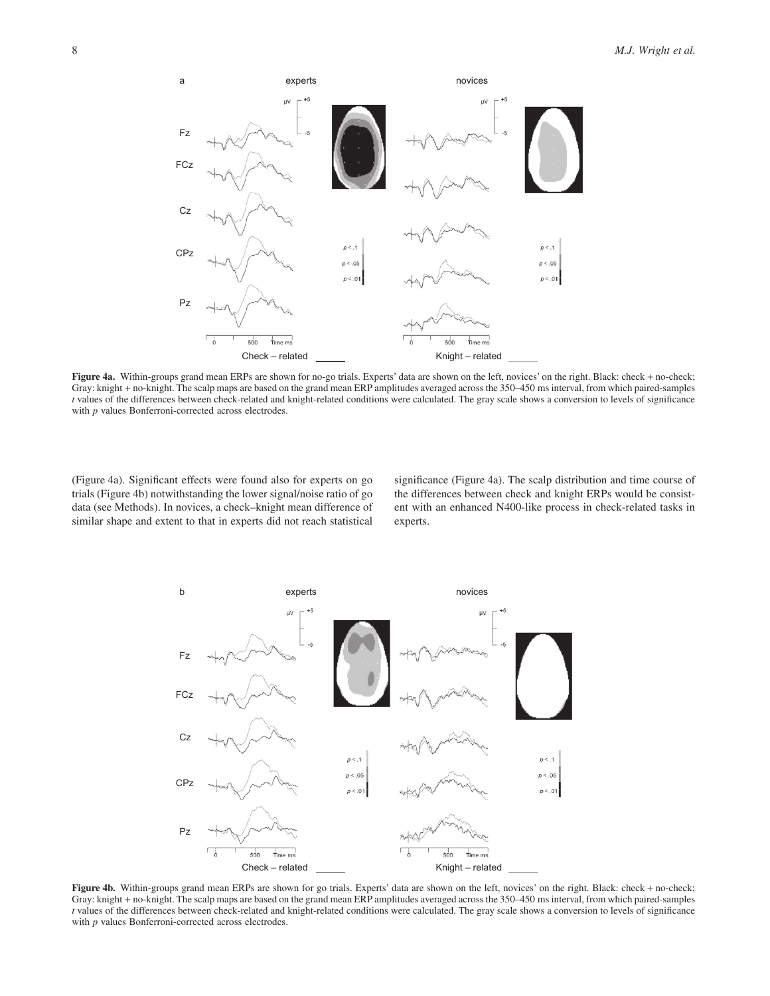

**Figure 4a.** Within-groups grand mean ERPs are shown for no-go trials. Experts' data are shown on the left, novices' on the right. Black: check + no-check; Gray: knight + no-knight. The scalp maps are based on the grand mean ERP amplitudes averaged across the 350–450 ms interval, from which paired-samples *t* values of the differences between check-related and knight-related conditions were calculated. The gray scale shows a conversion to levels of significance with *p* values Bonferroni-corrected across electrodes.

(Figure 4a). Significant effects were found also for experts on go trials (Figure 4b) notwithstanding the lower signal/noise ratio of go data (see Methods). In novices, a check–knight mean difference of similar shape and extent to that in experts did not reach statistical

significance (Figure 4a). The scalp distribution and time course of the differences between check and knight ERPs would be consistent with an enhanced N400-like process in check-related tasks in experts.



**Figure 4b.** Within-groups grand mean ERPs are shown for go trials. Experts' data are shown on the left, novices' on the right. Black: check + no-check; Gray: knight + no-knight. The scalp maps are based on the grand mean ERP amplitudes averaged across the 350–450 ms interval, from which paired-samples *t* values of the differences between check-related and knight-related conditions were calculated. The gray scale shows a conversion to levels of significance with *p* values Bonferroni-corrected across electrodes.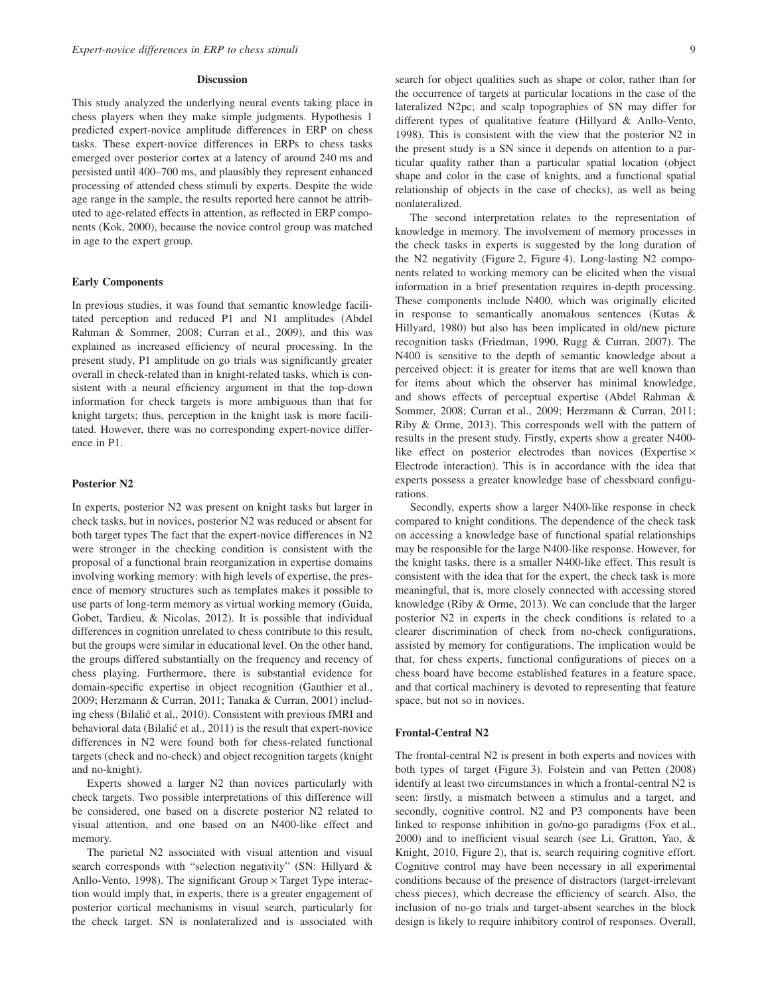#### **Discussion**

This study analyzed the underlying neural events taking place in chess players when they make simple judgments. Hypothesis 1 predicted expert-novice amplitude differences in ERP on chess tasks. These expert-novice differences in ERPs to chess tasks emerged over posterior cortex at a latency of around 240 ms and persisted until 400–700 ms, and plausibly they represent enhanced processing of attended chess stimuli by experts. Despite the wide age range in the sample, the results reported here cannot be attributed to age-related effects in attention, as reflected in ERP components (Kok, 2000), because the novice control group was matched in age to the expert group.

# **Early Components**

In previous studies, it was found that semantic knowledge facilitated perception and reduced P1 and N1 amplitudes (Abdel Rahman & Sommer, 2008; Curran et al., 2009), and this was explained as increased efficiency of neural processing. In the present study, P1 amplitude on go trials was significantly greater overall in check-related than in knight-related tasks, which is consistent with a neural efficiency argument in that the top-down information for check targets is more ambiguous than that for knight targets; thus, perception in the knight task is more facilitated. However, there was no corresponding expert-novice difference in P1.

#### **Posterior N2**

In experts, posterior N2 was present on knight tasks but larger in check tasks, but in novices, posterior N2 was reduced or absent for both target types The fact that the expert-novice differences in N2 were stronger in the checking condition is consistent with the proposal of a functional brain reorganization in expertise domains involving working memory: with high levels of expertise, the presence of memory structures such as templates makes it possible to use parts of long-term memory as virtual working memory (Guida, Gobet, Tardieu, & Nicolas, 2012). It is possible that individual differences in cognition unrelated to chess contribute to this result, but the groups were similar in educational level. On the other hand, the groups differed substantially on the frequency and recency of chess playing. Furthermore, there is substantial evidence for domain-specific expertise in object recognition (Gauthier et al., 2009; Herzmann & Curran, 2011; Tanaka & Curran, 2001) including chess (Bilalić et al., 2010). Consistent with previous fMRI and behavioral data (Bilalić et al., 2011) is the result that expert-novice differences in N2 were found both for chess-related functional targets (check and no-check) and object recognition targets (knight and no-knight).

Experts showed a larger N2 than novices particularly with check targets. Two possible interpretations of this difference will be considered, one based on a discrete posterior N2 related to visual attention, and one based on an N400-like effect and memory.

The parietal N2 associated with visual attention and visual search corresponds with "selection negativity" (SN: Hillyard & Anllo-Vento, 1998). The significant Group  $\times$  Target Type interaction would imply that, in experts, there is a greater engagement of posterior cortical mechanisms in visual search, particularly for the check target. SN is nonlateralized and is associated with search for object qualities such as shape or color, rather than for the occurrence of targets at particular locations in the case of the lateralized N2pc; and scalp topographies of SN may differ for different types of qualitative feature (Hillyard & Anllo-Vento, 1998). This is consistent with the view that the posterior N2 in the present study is a SN since it depends on attention to a particular quality rather than a particular spatial location (object shape and color in the case of knights, and a functional spatial relationship of objects in the case of checks), as well as being nonlateralized.

The second interpretation relates to the representation of knowledge in memory. The involvement of memory processes in the check tasks in experts is suggested by the long duration of the N2 negativity (Figure 2, Figure 4). Long-lasting N2 components related to working memory can be elicited when the visual information in a brief presentation requires in-depth processing. These components include N400, which was originally elicited in response to semantically anomalous sentences (Kutas & Hillyard, 1980) but also has been implicated in old/new picture recognition tasks (Friedman, 1990, Rugg & Curran, 2007). The N400 is sensitive to the depth of semantic knowledge about a perceived object: it is greater for items that are well known than for items about which the observer has minimal knowledge, and shows effects of perceptual expertise (Abdel Rahman & Sommer, 2008; Curran et al., 2009; Herzmann & Curran, 2011; Riby & Orme, 2013). This corresponds well with the pattern of results in the present study. Firstly, experts show a greater N400 like effect on posterior electrodes than novices (Expertise  $\times$ Electrode interaction). This is in accordance with the idea that experts possess a greater knowledge base of chessboard configurations.

Secondly, experts show a larger N400-like response in check compared to knight conditions. The dependence of the check task on accessing a knowledge base of functional spatial relationships may be responsible for the large N400-like response. However, for the knight tasks, there is a smaller N400-like effect. This result is consistent with the idea that for the expert, the check task is more meaningful, that is, more closely connected with accessing stored knowledge (Riby & Orme, 2013). We can conclude that the larger posterior N2 in experts in the check conditions is related to a clearer discrimination of check from no-check configurations, assisted by memory for configurations. The implication would be that, for chess experts, functional configurations of pieces on a chess board have become established features in a feature space, and that cortical machinery is devoted to representing that feature space, but not so in novices.

#### **Frontal-Central N2**

The frontal-central N2 is present in both experts and novices with both types of target (Figure 3). Folstein and van Petten (2008) identify at least two circumstances in which a frontal-central N2 is seen: firstly, a mismatch between a stimulus and a target, and secondly, cognitive control. N2 and P3 components have been linked to response inhibition in go/no-go paradigms (Fox et al., 2000) and to inefficient visual search (see Li, Gratton, Yao, & Knight, 2010, Figure 2), that is, search requiring cognitive effort. Cognitive control may have been necessary in all experimental conditions because of the presence of distractors (target-irrelevant chess pieces), which decrease the efficiency of search. Also, the inclusion of no-go trials and target-absent searches in the block design is likely to require inhibitory control of responses. Overall,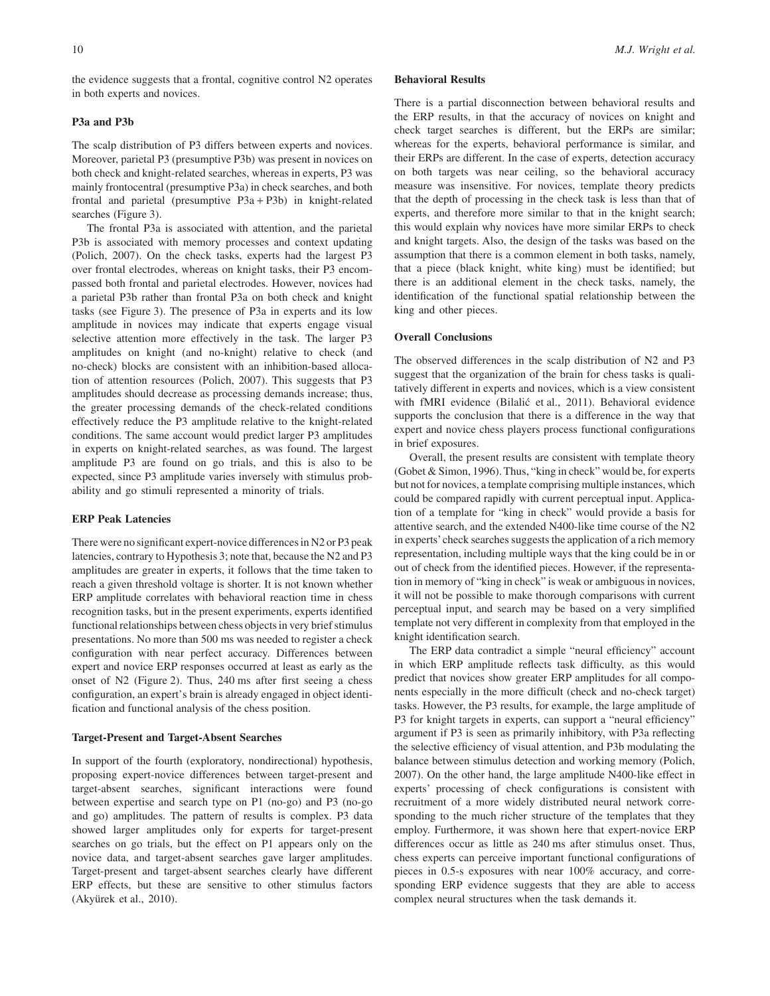the evidence suggests that a frontal, cognitive control N2 operates in both experts and novices.

# **P3a and P3b**

The scalp distribution of P3 differs between experts and novices. Moreover, parietal P3 (presumptive P3b) was present in novices on both check and knight-related searches, whereas in experts, P3 was mainly frontocentral (presumptive P3a) in check searches, and both frontal and parietal (presumptive P3a + P3b) in knight-related searches (Figure 3).

The frontal P3a is associated with attention, and the parietal P3b is associated with memory processes and context updating (Polich, 2007). On the check tasks, experts had the largest P3 over frontal electrodes, whereas on knight tasks, their P3 encompassed both frontal and parietal electrodes. However, novices had a parietal P3b rather than frontal P3a on both check and knight tasks (see Figure 3). The presence of P3a in experts and its low amplitude in novices may indicate that experts engage visual selective attention more effectively in the task. The larger P3 amplitudes on knight (and no-knight) relative to check (and no-check) blocks are consistent with an inhibition-based allocation of attention resources (Polich, 2007). This suggests that P3 amplitudes should decrease as processing demands increase; thus, the greater processing demands of the check-related conditions effectively reduce the P3 amplitude relative to the knight-related conditions. The same account would predict larger P3 amplitudes in experts on knight-related searches, as was found. The largest amplitude P3 are found on go trials, and this is also to be expected, since P3 amplitude varies inversely with stimulus probability and go stimuli represented a minority of trials.

# **ERP Peak Latencies**

There were no significant expert-novice differences in N2 or P3 peak latencies, contrary to Hypothesis 3; note that, because the N2 and P3 amplitudes are greater in experts, it follows that the time taken to reach a given threshold voltage is shorter. It is not known whether ERP amplitude correlates with behavioral reaction time in chess recognition tasks, but in the present experiments, experts identified functional relationships between chess objects in very brief stimulus presentations. No more than 500 ms was needed to register a check configuration with near perfect accuracy. Differences between expert and novice ERP responses occurred at least as early as the onset of N2 (Figure 2). Thus, 240 ms after first seeing a chess configuration, an expert's brain is already engaged in object identification and functional analysis of the chess position.

# **Target-Present and Target-Absent Searches**

In support of the fourth (exploratory, nondirectional) hypothesis, proposing expert-novice differences between target-present and target-absent searches, significant interactions were found between expertise and search type on P1 (no-go) and P3 (no-go and go) amplitudes. The pattern of results is complex. P3 data showed larger amplitudes only for experts for target-present searches on go trials, but the effect on P1 appears only on the novice data, and target-absent searches gave larger amplitudes. Target-present and target-absent searches clearly have different ERP effects, but these are sensitive to other stimulus factors (Akyürek et al., 2010).

## **Behavioral Results**

There is a partial disconnection between behavioral results and the ERP results, in that the accuracy of novices on knight and check target searches is different, but the ERPs are similar; whereas for the experts, behavioral performance is similar, and their ERPs are different. In the case of experts, detection accuracy on both targets was near ceiling, so the behavioral accuracy measure was insensitive. For novices, template theory predicts that the depth of processing in the check task is less than that of experts, and therefore more similar to that in the knight search; this would explain why novices have more similar ERPs to check and knight targets. Also, the design of the tasks was based on the assumption that there is a common element in both tasks, namely, that a piece (black knight, white king) must be identified; but there is an additional element in the check tasks, namely, the identification of the functional spatial relationship between the king and other pieces.

## **Overall Conclusions**

The observed differences in the scalp distribution of N2 and P3 suggest that the organization of the brain for chess tasks is qualitatively different in experts and novices, which is a view consistent with fMRI evidence (Bilalić et al., 2011). Behavioral evidence supports the conclusion that there is a difference in the way that expert and novice chess players process functional configurations in brief exposures.

Overall, the present results are consistent with template theory (Gobet & Simon, 1996). Thus, "king in check" would be, for experts but not for novices, a template comprising multiple instances, which could be compared rapidly with current perceptual input. Application of a template for "king in check" would provide a basis for attentive search, and the extended N400-like time course of the N2 in experts'check searches suggests the application of a rich memory representation, including multiple ways that the king could be in or out of check from the identified pieces. However, if the representation in memory of "king in check" is weak or ambiguous in novices, it will not be possible to make thorough comparisons with current perceptual input, and search may be based on a very simplified template not very different in complexity from that employed in the knight identification search.

The ERP data contradict a simple "neural efficiency" account in which ERP amplitude reflects task difficulty, as this would predict that novices show greater ERP amplitudes for all components especially in the more difficult (check and no-check target) tasks. However, the P3 results, for example, the large amplitude of P3 for knight targets in experts, can support a "neural efficiency" argument if P3 is seen as primarily inhibitory, with P3a reflecting the selective efficiency of visual attention, and P3b modulating the balance between stimulus detection and working memory (Polich, 2007). On the other hand, the large amplitude N400-like effect in experts' processing of check configurations is consistent with recruitment of a more widely distributed neural network corresponding to the much richer structure of the templates that they employ. Furthermore, it was shown here that expert-novice ERP differences occur as little as 240 ms after stimulus onset. Thus, chess experts can perceive important functional configurations of pieces in 0.5-s exposures with near 100% accuracy, and corresponding ERP evidence suggests that they are able to access complex neural structures when the task demands it.